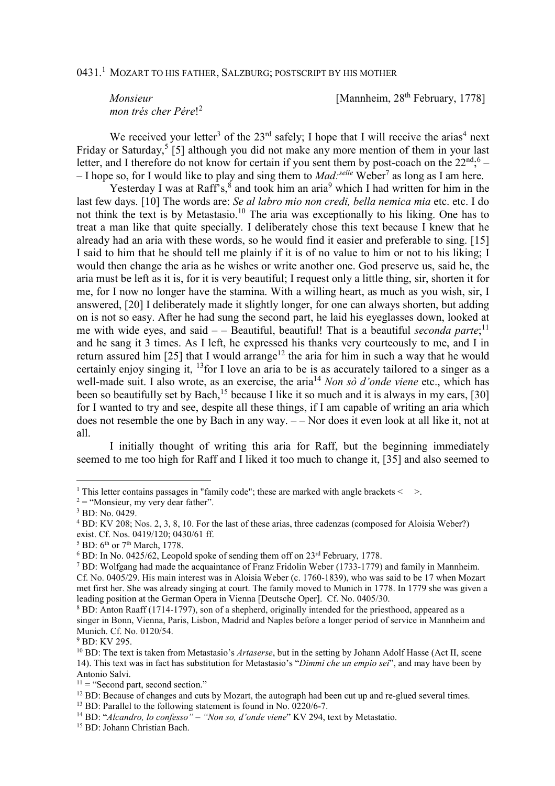## $0431.^1~$  Mozart to his father, Salzburg; postscript by his mother

*mon trés cher Pére*! 2

*Monsieur* [Mannheim, 28<sup>th</sup> February, 1778]

We received your letter<sup>3</sup> of the  $23<sup>rd</sup>$  safely; I hope that I will receive the arias<sup>4</sup> next Friday or Saturday,<sup>5</sup> [5] although you did not make any more mention of them in your last letter, and I therefore do not know for certain if you sent them by post-coach on the  $22^{nd}$ ;  $6 -$ – I hope so, for I would like to play and sing them to *Mad:selle* Weber<sup>7</sup> as long as I am here.

Yesterday I was at Raff's, ${}^{8}$  and took him an aria ${}^{9}$  which I had written for him in the last few days. [10] The words are: *Se al labro mio non credi, bella nemica mia* etc. etc. I do not think the text is by Metastasio.<sup>10</sup> The aria was exceptionally to his liking. One has to treat a man like that quite specially. I deliberately chose this text because I knew that he already had an aria with these words, so he would find it easier and preferable to sing. [15] I said to him that he should tell me plainly if it is of no value to him or not to his liking; I would then change the aria as he wishes or write another one. God preserve us, said he, the aria must be left as it is, for it is very beautiful; I request only a little thing, sir, shorten it for me, for I now no longer have the stamina. With a willing heart, as much as you wish, sir, I answered, [20] I deliberately made it slightly longer, for one can always shorten, but adding on is not so easy. After he had sung the second part, he laid his eyeglasses down, looked at me with wide eyes, and said – – Beautiful, beautiful! That is a beautiful *seconda parte*;<sup>11</sup> and he sang it 3 times. As I left, he expressed his thanks very courteously to me, and I in return assured him [25] that I would arrange<sup>12</sup> the aria for him in such a way that he would certainly enjoy singing it, <sup>13</sup> for I love an aria to be is as accurately tailored to a singer as a well-made suit. I also wrote, as an exercise, the aria<sup>14</sup> *Non sò d'onde viene* etc., which has been so beautifully set by Bach,<sup>15</sup> because I like it so much and it is always in my ears, [30] for I wanted to try and see, despite all these things, if I am capable of writing an aria which does not resemble the one by Bach in any way. – – Nor does it even look at all like it, not at all.

I initially thought of writing this aria for Raff, but the beginning immediately seemed to me too high for Raff and I liked it too much to change it, [35] and also seemed to

 $\overline{a}$ 

<sup>&</sup>lt;sup>1</sup> This letter contains passages in "family code"; these are marked with angle brackets  $\leq$  >.

 $2 =$  "Monsieur, my very dear father".

<sup>3</sup> BD: No. 0429.

<sup>&</sup>lt;sup>4</sup> BD: KV 208; Nos. 2, 3, 8, 10. For the last of these arias, three cadenzas (composed for Aloisia Weber?) exist. Cf. Nos. 0419/120; 0430/61 ff.

 $<sup>5</sup>$  BD:  $6<sup>th</sup>$  or 7<sup>th</sup> March, 1778.</sup>

 $6$  BD: In No. 0425/62, Leopold spoke of sending them off on  $23<sup>rd</sup>$  February, 1778.

<sup>&</sup>lt;sup>7</sup> BD: Wolfgang had made the acquaintance of Franz Fridolin Weber (1733-1779) and family in Mannheim. Cf. No. 0405/29. His main interest was in Aloisia Weber (c. 1760-1839), who was said to be 17 when Mozart met first her. She was already singing at court. The family moved to Munich in 1778. In 1779 she was given a leading position at the German Opera in Vienna [Deutsche Oper]. Cf. No. 0405/30.

<sup>&</sup>lt;sup>8</sup> BD: Anton Raaff (1714-1797), son of a shepherd, originally intended for the priesthood, appeared as a singer in Bonn, Vienna, Paris, Lisbon, Madrid and Naples before a longer period of service in Mannheim and Munich. Cf. No. 0120/54.

<sup>9</sup> BD: KV 295.

<sup>10</sup> BD: The text is taken from Metastasio's *Artaserse*, but in the setting by Johann Adolf Hasse (Act II, scene 14). This text was in fact has substitution for Metastasio's "*Dimmi che un empio sei*", and may have been by Antonio Salvi.

 $11 =$  "Second part, second section."

<sup>&</sup>lt;sup>12</sup> BD: Because of changes and cuts by Mozart, the autograph had been cut up and re-glued several times.

<sup>&</sup>lt;sup>13</sup> BD: Parallel to the following statement is found in No. 0220/6-7.

<sup>14</sup> BD: "*Alcandro, lo confesso" – "Non so, d'onde viene*" KV 294, text by Metastatio.

<sup>15</sup> BD: Johann Christian Bach.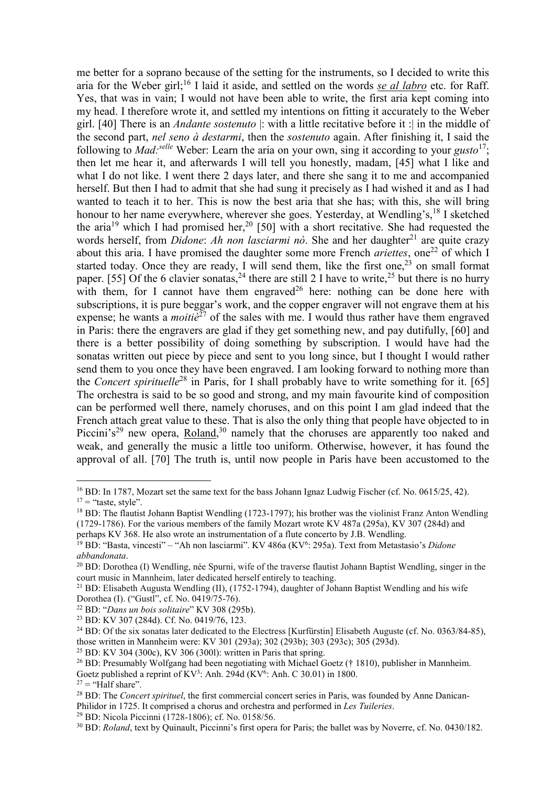me better for a soprano because of the setting for the instruments, so I decided to write this aria for the Weber girl;<sup>16</sup> I laid it aside, and settled on the words *se al labro* etc. for Raff. Yes, that was in vain; I would not have been able to write, the first aria kept coming into my head. I therefore wrote it, and settled my intentions on fitting it accurately to the Weber girl. [40] There is an *Andante sostenuto* |: with a little recitative before it :| in the middle of the second part, *nel seno à destarmi*, then the *sostenuto* again. After finishing it, I said the following to *Mad:selle* Weber: Learn the aria on your own, sing it according to your *gusto*<sup>17</sup>; then let me hear it, and afterwards I will tell you honestly, madam, [45] what I like and what I do not like. I went there 2 days later, and there she sang it to me and accompanied herself. But then I had to admit that she had sung it precisely as I had wished it and as I had wanted to teach it to her. This is now the best aria that she has; with this, she will bring honour to her name everywhere, wherever she goes. Yesterday, at Wendling's, <sup>18</sup> I sketched the aria<sup>19</sup> which I had promised her,<sup>20</sup> [50] with a short recitative. She had requested the words herself, from *Didone: Ah non lasciarmi no*. She and her daughter<sup>21</sup> are quite crazy about this aria. I have promised the daughter some more French *ariettes*, one<sup>22</sup> of which I started today. Once they are ready, I will send them, like the first one, $^{23}$  on small format paper. [55] Of the 6 clavier sonatas,<sup>24</sup> there are still 2 I have to write,<sup>25</sup> but there is no hurry with them, for I cannot have them engraved  $26$  here: nothing can be done here with subscriptions, it is pure beggar's work, and the copper engraver will not engrave them at his expense; he wants a *moitie*<sup> $27$ </sup> of the sales with me. I would thus rather have them engraved in Paris: there the engravers are glad if they get something new, and pay dutifully, [60] and there is a better possibility of doing something by subscription. I would have had the sonatas written out piece by piece and sent to you long since, but I thought I would rather send them to you once they have been engraved. I am looking forward to nothing more than the *Concert spirituelle*<sup>28</sup> in Paris, for I shall probably have to write something for it. [65] The orchestra is said to be so good and strong, and my main favourite kind of composition can be performed well there, namely choruses, and on this point I am glad indeed that the French attach great value to these. That is also the only thing that people have objected to in Piccini's<sup>29</sup> new opera,  $\frac{\text{Roland}}{30}$  namely that the choruses are apparently too naked and weak, and generally the music a little too uniform. Otherwise, however, it has found the approval of all. [70] The truth is, until now people in Paris have been accustomed to the

<sup>25</sup> BD: KV 304 (300c), KV 306 (3001): written in Paris that spring.

 $\overline{a}$ 

<sup>&</sup>lt;sup>16</sup> BD: In 1787, Mozart set the same text for the bass Johann Ignaz Ludwig Fischer (cf. No. 0615/25, 42).  $17 =$  "taste, style".

<sup>&</sup>lt;sup>18</sup> BD: The flautist Johann Baptist Wendling (1723-1797); his brother was the violinist Franz Anton Wendling (1729-1786). For the various members of the family Mozart wrote KV 487a (295a), KV 307 (284d) and

perhaps KV 368. He also wrote an instrumentation of a flute concerto by J.B. Wendling.

<sup>&</sup>lt;sup>19</sup> BD: "Basta, vincesti" – "Ah non lasciarmi". KV 486a (KV<sup>6</sup>: 295a). Text from Metastasio's *Didone abbandonata*.

<sup>&</sup>lt;sup>20</sup> BD: Dorothea (I) Wendling, née Spurni, wife of the traverse flautist Johann Baptist Wendling, singer in the court music in Mannheim, later dedicated herself entirely to teaching.

<sup>21</sup> BD: Elisabeth Augusta Wendling (II), (1752-1794), daughter of Johann Baptist Wendling and his wife Dorothea (I). ("Gustl", cf. No. 0419/75-76).

<sup>22</sup> BD: "*Dans un bois solitaire*" KV 308 (295b).

<sup>23</sup> BD: KV 307 (284d). Cf. No. 0419/76, 123.

<sup>&</sup>lt;sup>24</sup> BD: Of the six sonatas later dedicated to the Electress [Kurfürstin] Elisabeth Auguste (cf. No. 0363/84-85), those written in Mannheim were: KV 301 (293a); 302 (293b); 303 (293c); 305 (293d).

<sup>&</sup>lt;sup>26</sup> BD: Presumably Wolfgang had been negotiating with Michael Goetz († 1810), publisher in Mannheim. Goetz published a reprint of  $KV^3$ : Anh. 294d ( $KV^6$ : Anh. C 30.01) in 1800.

 $27 =$  "Half share".

<sup>28</sup> BD: The *Concert spirituel*, the first commercial concert series in Paris, was founded by Anne Danican-Philidor in 1725. It comprised a chorus and orchestra and performed in *Les Tuileries*.

<sup>29</sup> BD: Nicola Piccinni (1728-1806); cf. No. 0158/56.

<sup>&</sup>lt;sup>30</sup> BD: *Roland*, text by Quinault, Piccinni's first opera for Paris; the ballet was by Noverre, cf. No. 0430/182.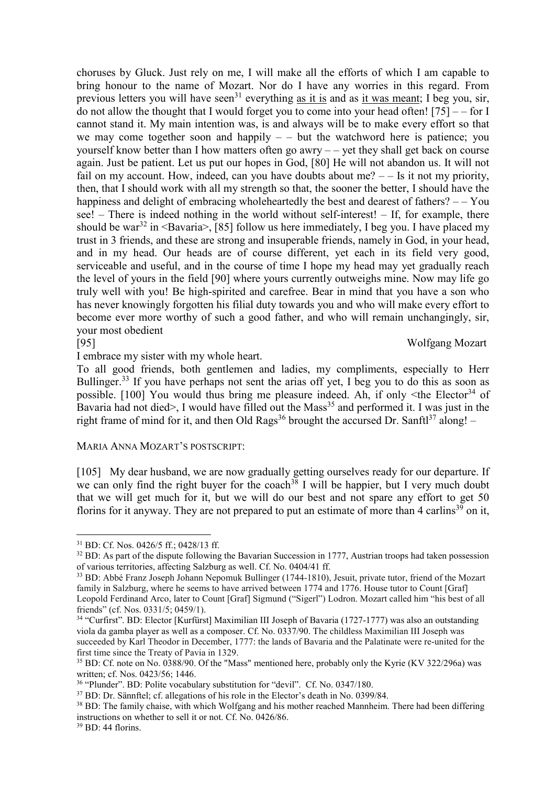choruses by Gluck. Just rely on me, I will make all the efforts of which I am capable to bring honour to the name of Mozart. Nor do I have any worries in this regard. From previous letters you will have seen<sup>31</sup> everything as it is and as it was meant; I beg you, sir, do not allow the thought that I would forget you to come into your head often!  $[75]$  – – for I cannot stand it. My main intention was, is and always will be to make every effort so that we may come together soon and happily  $-$  but the watchword here is patience; you yourself know better than I how matters often go awry – – yet they shall get back on course again. Just be patient. Let us put our hopes in God, [80] He will not abandon us. It will not fail on my account. How, indeed, can you have doubts about me?  $-$  Is it not my priority, then, that I should work with all my strength so that, the sooner the better, I should have the happiness and delight of embracing wholeheartedly the best and dearest of fathers?  $-$  You see! – There is indeed nothing in the world without self-interest! – If, for example, there should be war<sup>32</sup> in  $\langle$ Bavaria $\rangle$ , [85] follow us here immediately, I beg you. I have placed my trust in 3 friends, and these are strong and insuperable friends, namely in God, in your head, and in my head. Our heads are of course different, yet each in its field very good, serviceable and useful, and in the course of time I hope my head may yet gradually reach the level of yours in the field [90] where yours currently outweighs mine. Now may life go truly well with you! Be high-spirited and carefree. Bear in mind that you have a son who has never knowingly forgotten his filial duty towards you and who will make every effort to become ever more worthy of such a good father, and who will remain unchangingly, sir, your most obedient

[95] Wolfgang Mozart

 $\overline{a}$ 

I embrace my sister with my whole heart.

To all good friends, both gentlemen and ladies, my compliments, especially to Herr Bullinger.<sup>33</sup> If you have perhaps not sent the arias off yet, I beg you to do this as soon as possible.  $[100]$  You would thus bring me pleasure indeed. Ah, if only  $\leq$ the Elector<sup>34</sup> of Bavaria had not died>, I would have filled out the Mass<sup>35</sup> and performed it. I was just in the right frame of mind for it, and then Old Rags<sup>36</sup> brought the accursed Dr. Sanftl<sup>37</sup> along! –

## MARIA ANNA MOZART'S POSTSCRIPT:

[105] My dear husband, we are now gradually getting ourselves ready for our departure. If we can only find the right buyer for the coach<sup>38</sup> I will be happier, but I very much doubt that we will get much for it, but we will do our best and not spare any effort to get 50 florins for it anyway. They are not prepared to put an estimate of more than 4 carlins<sup>39</sup> on it,

<sup>31</sup> BD: Cf. Nos. 0426/5 ff.; 0428/13 ff.

<sup>&</sup>lt;sup>32</sup> BD: As part of the dispute following the Bavarian Succession in 1777, Austrian troops had taken possession of various territories, affecting Salzburg as well. Cf. No. 0404/41 ff.

<sup>33</sup> BD: Abbé Franz Joseph Johann Nepomuk Bullinger (1744-1810), Jesuit, private tutor, friend of the Mozart family in Salzburg, where he seems to have arrived between 1774 and 1776. House tutor to Count [Graf] Leopold Ferdinand Arco, later to Count [Graf] Sigmund ("Sigerl") Lodron. Mozart called him "his best of all friends" (cf. Nos. 0331/5; 0459/1).

<sup>&</sup>lt;sup>34</sup> "Curfirst". BD: Elector [Kurfürst] Maximilian III Joseph of Bavaria (1727-1777) was also an outstanding viola da gamba player as well as a composer. Cf. No. 0337/90. The childless Maximilian III Joseph was succeeded by Karl Theodor in December, 1777: the lands of Bavaria and the Palatinate were re-united for the first time since the Treaty of Pavia in 1329.

<sup>35</sup> BD: Cf. note on No. 0388/90. Of the "Mass" mentioned here, probably only the Kyrie (KV 322/296a) was written; cf. Nos. 0423/56; 1446.

<sup>&</sup>lt;sup>36</sup> "Plunder". BD: Polite vocabulary substitution for "devil". Cf. No. 0347/180.

<sup>37</sup> BD: Dr. Sännftel; cf. allegations of his role in the Elector's death in No. 0399/84.

<sup>&</sup>lt;sup>38</sup> BD: The family chaise, with which Wolfgang and his mother reached Mannheim. There had been differing instructions on whether to sell it or not. Cf. No. 0426/86.

<sup>39</sup> BD: 44 florins.